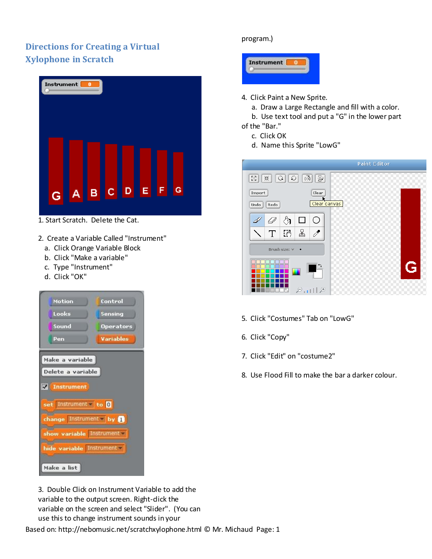## **Directions for Creating a Virtual Xylophone in Scratch**

|   | Instrument <b>0</b> |   |           |             |   |   |  |
|---|---------------------|---|-----------|-------------|---|---|--|
| Ġ | A                   | B | $c$ $ D $ | $\mathsf E$ | F | G |  |

1. Start Scratch. Delete the Cat.

- 2. Create a Variable Called "Instrument"
	- a. Click Orange Variable Block
	- b. Click "Make a variable"
	- c. Type "Instrument"
	- d. Click "OK"

| Motion                   | Control          |  |  |  |  |  |
|--------------------------|------------------|--|--|--|--|--|
| Looks                    | Sensing          |  |  |  |  |  |
| Sound                    | <b>Operators</b> |  |  |  |  |  |
| Pen                      | <b>Variables</b> |  |  |  |  |  |
| Make a variable          |                  |  |  |  |  |  |
| Delete a variable        |                  |  |  |  |  |  |
| <b>X</b> Instrument      |                  |  |  |  |  |  |
| set Instrument to 0      |                  |  |  |  |  |  |
| change Instrument by n   |                  |  |  |  |  |  |
| show variable Instrument |                  |  |  |  |  |  |
| hide variable Instrument |                  |  |  |  |  |  |
| Make a list              |                  |  |  |  |  |  |

## program.)



- 4. Click Paint a New Sprite.
	- a. Draw a Large Rectangle and fill with a color.
- b. Use text tool and put a "G" in the lower part of the "Bar."
	- c. Click OK
	- d. Name this Sprite "LowG"



- 5. Click "Costumes" Tab on "LowG"
- 6. Click "Copy"
- 7. Click "Edit" on "costume2"
- 8. Use Flood Fill to make the bar a darker colour.

3. Double Click on Instrument Variable to add the variable to the output screen. Right-dick the variable on the screen and select "Slider". (You can use this to change instrument sounds in your

Based on: http://nebomusic.net/scratchxylophone.html © Mr. Michaud Page: 1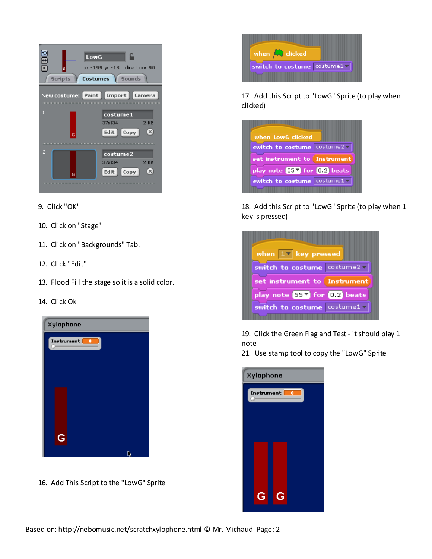

- 9. Click "OK"
- 10. Click on "Stage"
- 11. Click on "Backgrounds" Tab.
- 12. Click "Edit"
- 13. Flood Fill the stage so it is a solid color.
- 14. Click Ok



16. Add This Script to the "LowG" Sprite



17. Add this Script to "LowG" Sprite (to play when clicked)



18. Add this Script to "LowG" Sprite (to play when 1 key is pressed)



19. Click the Green Flag and Test - it should play 1 note

21. Use stamp tool to copy the "LowG" Sprite